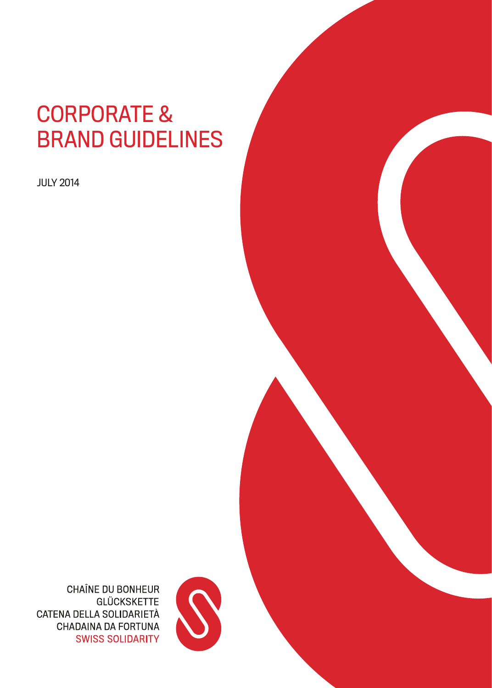# CORPORATE & BRAND GUIDELINES

JULY 2014



**CHAÎNE DU BONHEUR GLÜCKSKETTE** CATENA DELLA SOLIDARIETÀ **CHADAINA DA FORTUNA SWISS SOLIDARITY**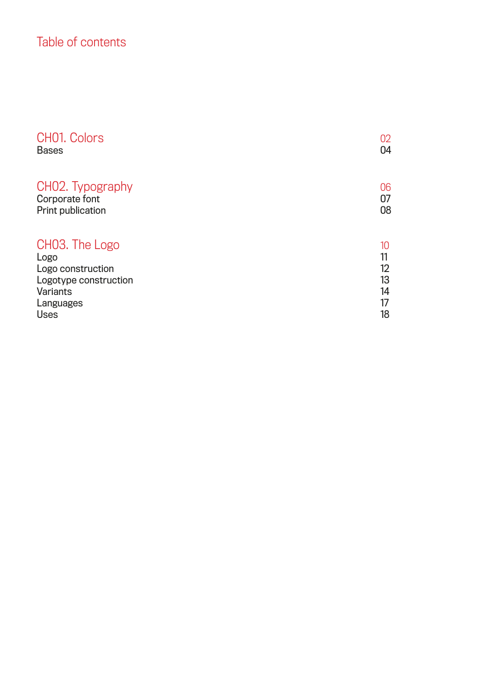## Table of contents

| CHO1. Colors                | 02 |
|-----------------------------|----|
| <b>Bases</b>                | 04 |
| CHO2. Typography            | 06 |
| Corporate font              | 07 |
| Print publication           | 08 |
| CHO <sub>3</sub> . The Logo | 10 |
| Logo                        | 11 |
| Logo construction           | 12 |
| Logotype construction       | 13 |
| Variants                    | 14 |
| Languages                   | 17 |
| <b>Uses</b>                 | 18 |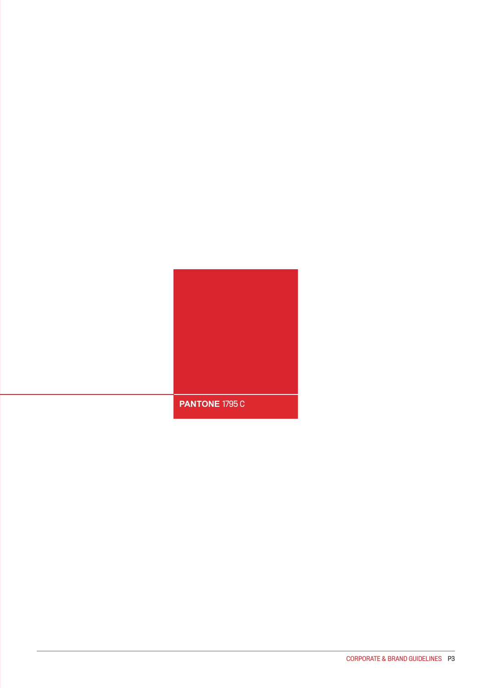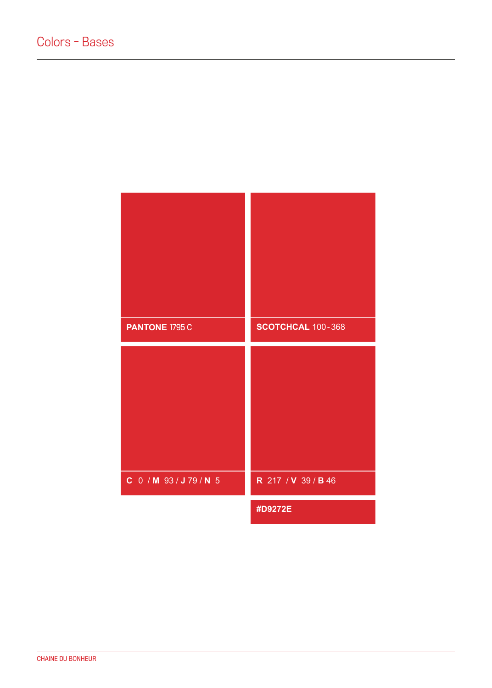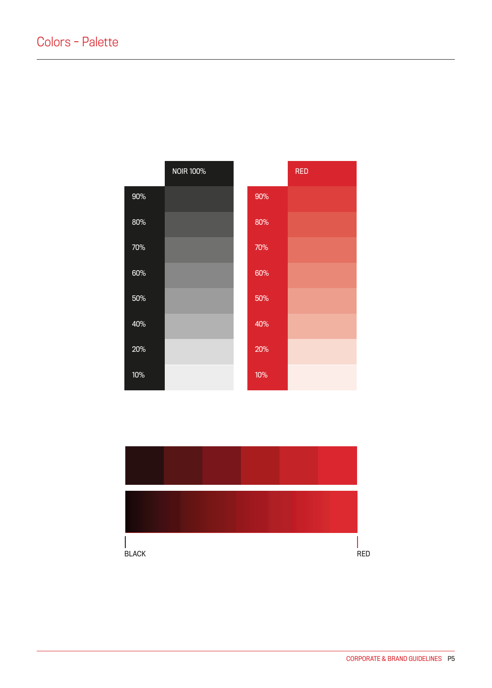|        | <b>NOIR 100%</b> |     | <b>RED</b> |
|--------|------------------|-----|------------|
| $90\%$ |                  | 90% |            |
| 80%    |                  | 80% |            |
| 70%    |                  | 70% |            |
| 60%    |                  | 60% |            |
| $50\%$ |                  | 50% |            |
| 40%    |                  | 40% |            |
| 20%    |                  | 20% |            |
| 10%    |                  | 10% |            |

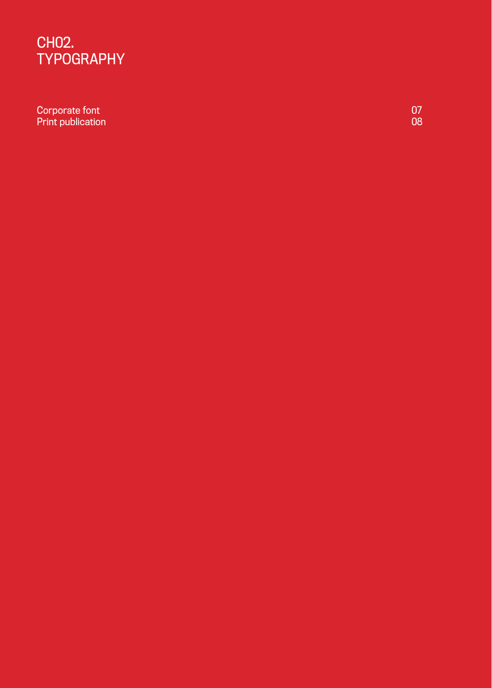## CH02. TYPOGRAPHY

Corporate font 07 Print publication

0 8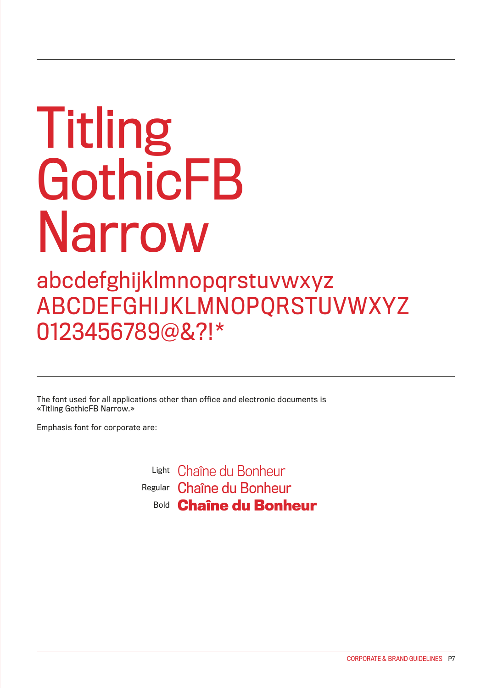# Titling GothicFB Narrow

## abcdefghijklmnopqrstuvwxyz ABCDEFGHIJKLMNOPQRSTUVWXYZ 0123456789@&?!\*

The font used for all applications other than office and electronic documents is «Titling GothicFB Narrow.»

Emphasis font for corporate are:

Light Chaîne du Bonheur <sup>Regular</sup> Chaîne du Bonheur **Bold Chaîne du Bonheur**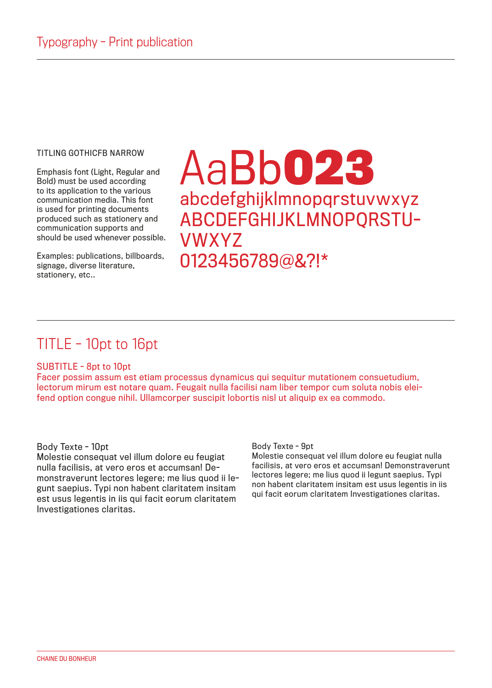#### TITI ING GOTHICFB NARROW

Emphasis font (Light, Regular and Bold) must be used according to its application to the various communication media. This font is used for printing documents produced such as stationery and communication supports and should be used whenever possible.

Examples: publications, billboards, signage, diverse literature, stationery, etc..

# AaBb**023** abcdefghijklmnopqrstuvwxyz ABCDEFGHIJKLMNOPQRSTU-VWXYZ 0123456789@&?!\*

## TITLE - 10pt to 16pt

### SUBTITLE - 8pt to 10pt

Facer possim assum est etiam processus dynamicus qui sequitur mutationem consuetudium, lectorum mirum est notare quam. Feugait nulla facilisi nam liber tempor cum soluta nobis eleifend option congue nihil. Ullamcorper suscipit lobortis nisl ut aliquip ex ea commodo.

### Body Texte - 10pt

Molestie consequat vel illum dolore eu feugiat nulla facilisis, at vero eros et accumsan! Demonstraverunt lectores legere; me lius quod ii legunt saepius. Typi non habent claritatem insitam est usus legentis in iis qui facit eorum claritatem Investigationes claritas.

#### Body Texte - 9pt

Molestie consequat vel illum dolore eu feugiat nulla facilisis, at vero eros et accumsan! Demonstraverunt lectores legere; me lius quod ii legunt saepius. Typi non habent claritatem insitam est usus legentis in iis qui facit eorum claritatem Investigationes claritas.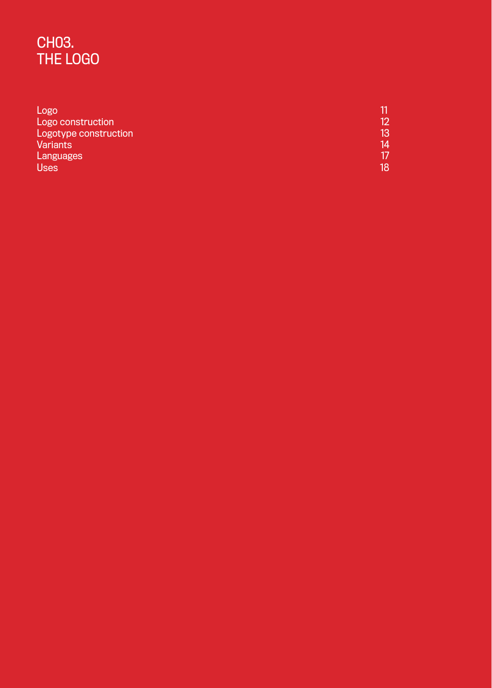## CH03. THE LOGO

| Logo                  |    |
|-----------------------|----|
| Logo construction     |    |
| Logotype construction | 13 |
| <b>Variants</b>       | 14 |
| Languages             |    |
| <b>Uses</b>           |    |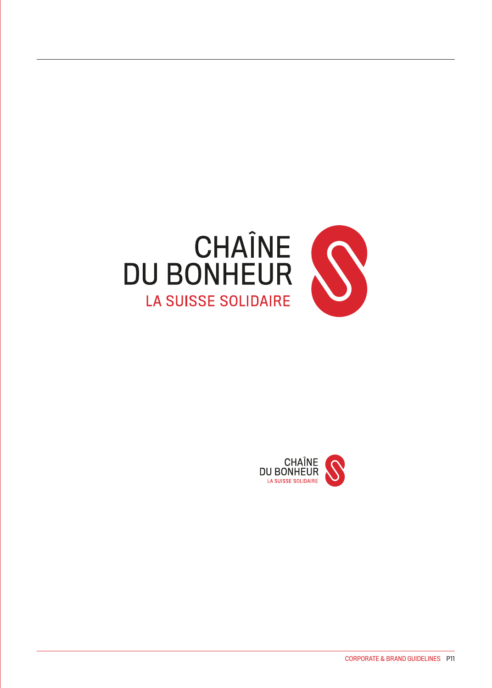

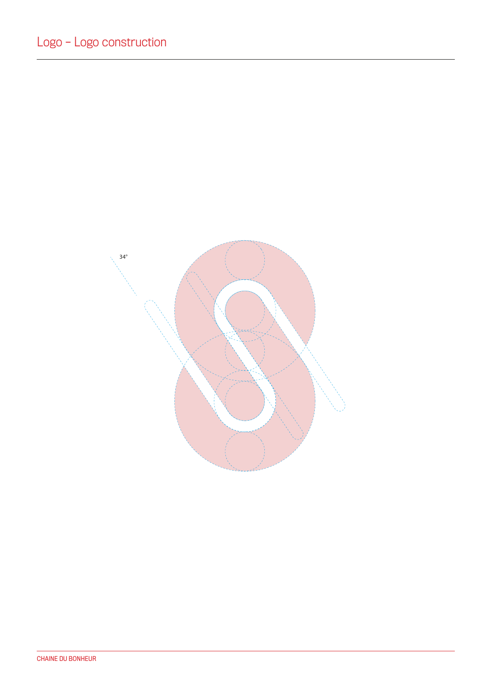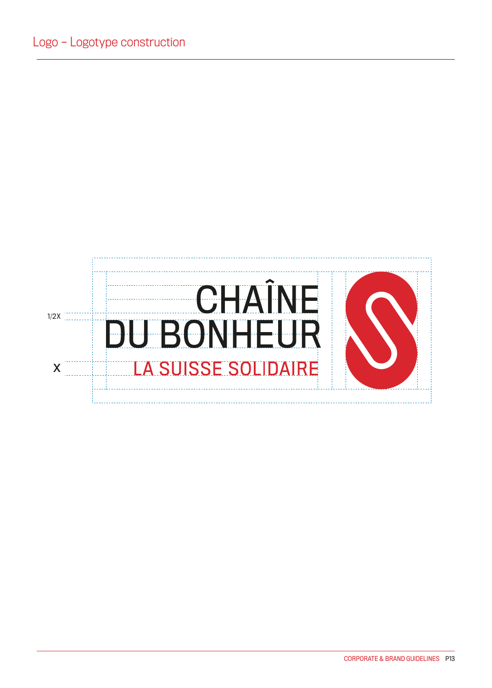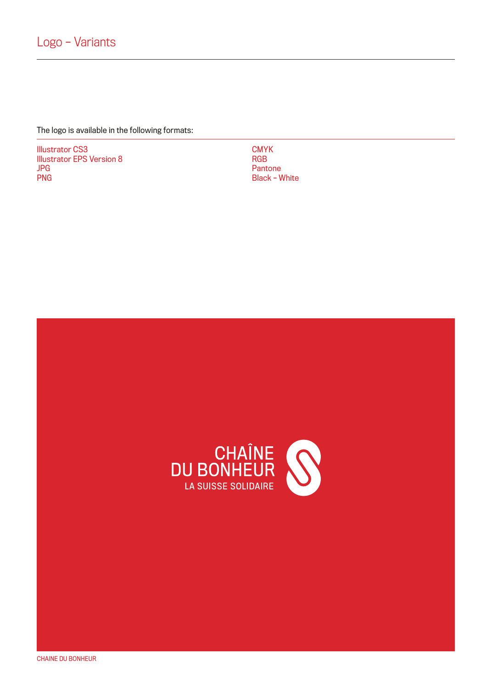The logo is available in the following formats:

Illustrator CS3 Illustrator EPS Version 8 JPG PNG

**CMYK** RGB **Pantone** Black – White

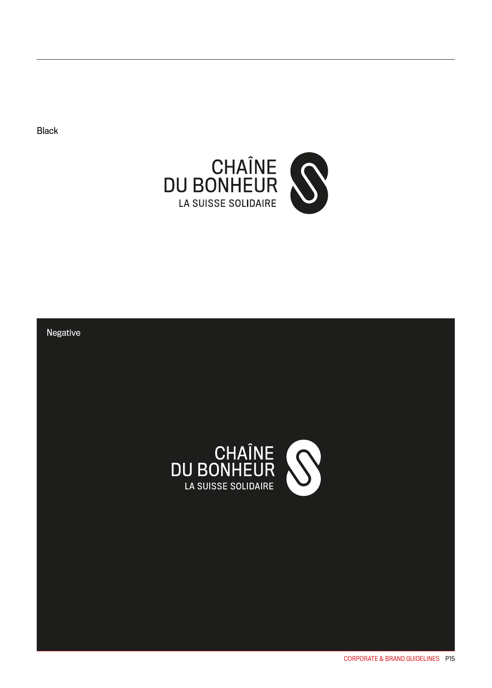Black



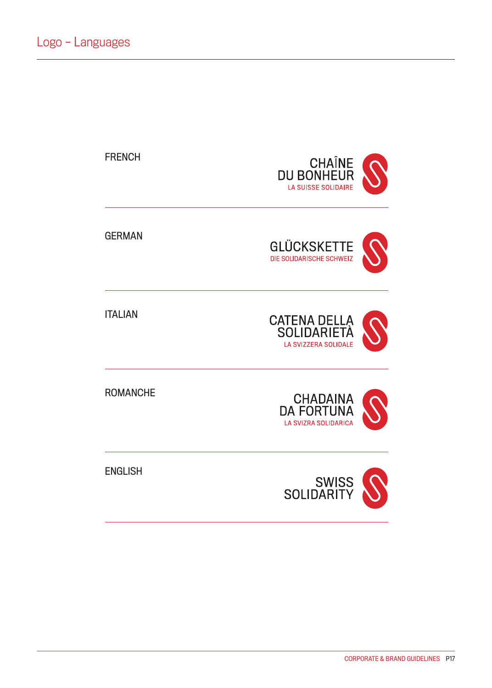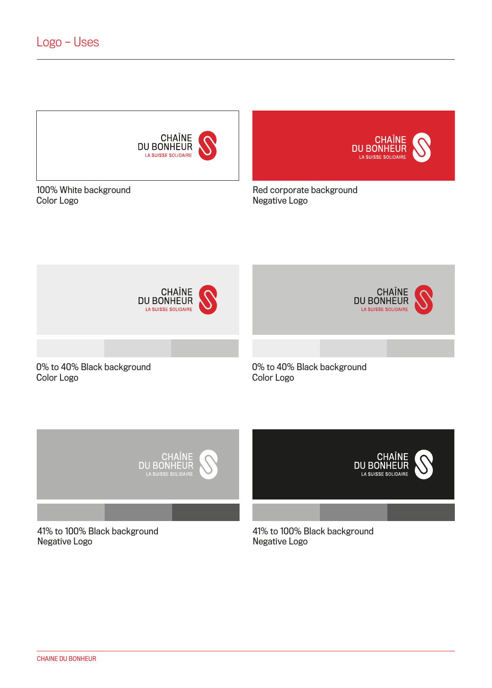

100% White background Color Logo

Red corporate background Negative Logo

**CHAÎNE**<br>DU BONHEUR<br>LA SUISSE SOLIDAIRE





41% to 100% Black background Negative Logo

41% to 100% Black background Negative Logo